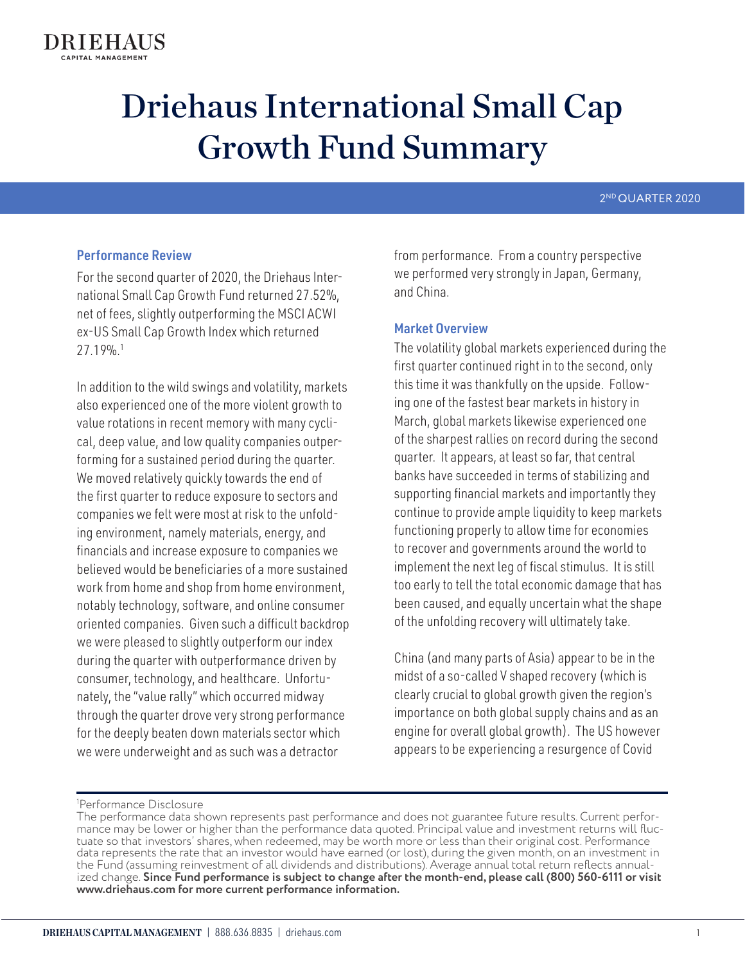# 2ND QUARTER 2020

# Performance Review

For the second quarter of 2020, the Driehaus International Small Cap Growth Fund returned 27.52%, net of fees, slightly outperforming the MSCI ACWI ex-US Small Cap Growth Index which returned 27.19%.1

In addition to the wild swings and volatility, markets also experienced one of the more violent growth to value rotations in recent memory with many cyclical, deep value, and low quality companies outperforming for a sustained period during the quarter. We moved relatively quickly towards the end of the first quarter to reduce exposure to sectors and companies we felt were most at risk to the unfolding environment, namely materials, energy, and financials and increase exposure to companies we believed would be beneficiaries of a more sustained work from home and shop from home environment, notably technology, software, and online consumer oriented companies. Given such a difficult backdrop we were pleased to slightly outperform our index during the quarter with outperformance driven by consumer, technology, and healthcare. Unfortunately, the "value rally" which occurred midway through the quarter drove very strong performance for the deeply beaten down materials sector which we were underweight and as such was a detractor

from performance. From a country perspective we performed very strongly in Japan, Germany, and China.

# Market Overview

The volatility global markets experienced during the first quarter continued right in to the second, only this time it was thankfully on the upside. Following one of the fastest bear markets in history in March, global markets likewise experienced one of the sharpest rallies on record during the second quarter. It appears, at least so far, that central banks have succeeded in terms of stabilizing and supporting financial markets and importantly they continue to provide ample liquidity to keep markets functioning properly to allow time for economies to recover and governments around the world to implement the next leg of fiscal stimulus. It is still too early to tell the total economic damage that has been caused, and equally uncertain what the shape of the unfolding recovery will ultimately take.

China (and many parts of Asia) appear to be in the midst of a so-called V shaped recovery (which is clearly crucial to global growth given the region's importance on both global supply chains and as an engine for overall global growth). The US however appears to be experiencing a resurgence of Covid

<sup>1</sup> Performance Disclosure

The performance data shown represents past performance and does not guarantee future results. Current performance may be lower or higher than the performance data quoted. Principal value and investment returns will fluctuate so that investors' shares, when redeemed, may be worth more or less than their original cost. Performance data represents the rate that an investor would have earned (or lost), during the given month, on an investment in the Fund (assuming reinvestment of all dividends and distributions). Average annual total return reflects annualized change. **Since Fund performance is subject to change after the month-end, please call (800) 560-6111 or visit www.driehaus.com for more current performance information.**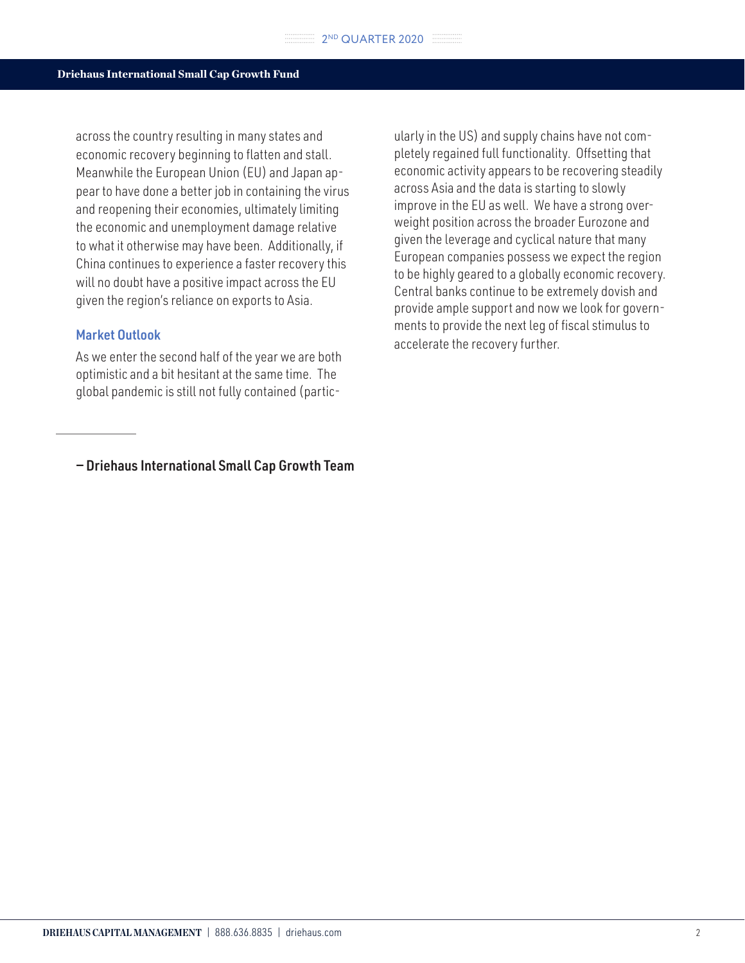across the country resulting in many states and economic recovery beginning to flatten and stall. Meanwhile the European Union (EU) and Japan appear to have done a better job in containing the virus and reopening their economies, ultimately limiting the economic and unemployment damage relative to what it otherwise may have been. Additionally, if China continues to experience a faster recovery this will no doubt have a positive impact across the EU given the region's reliance on exports to Asia.

# Market Outlook

As we enter the second half of the year we are both optimistic and a bit hesitant at the same time. The global pandemic is still not fully contained (partic-

— Driehaus International Small Cap Growth Team

ularly in the US) and supply chains have not completely regained full functionality. Offsetting that economic activity appears to be recovering steadily across Asia and the data is starting to slowly improve in the EU as well. We have a strong overweight position across the broader Eurozone and given the leverage and cyclical nature that many European companies possess we expect the region to be highly geared to a globally economic recovery. Central banks continue to be extremely dovish and provide ample support and now we look for governments to provide the next leg of fiscal stimulus to accelerate the recovery further.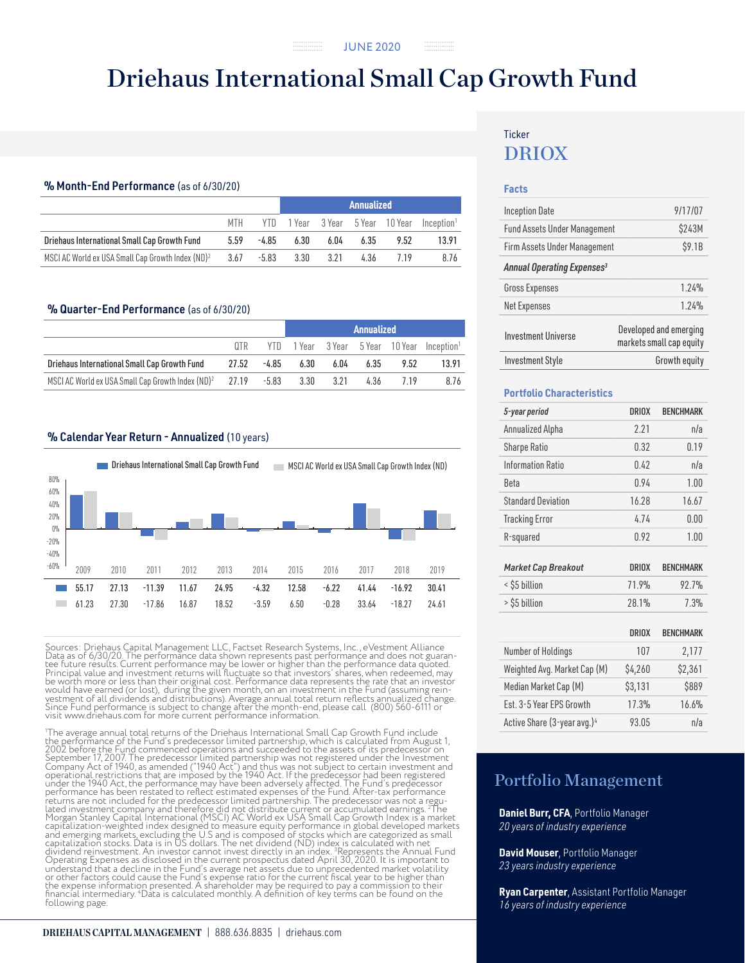#### % Month-End Performance (as of 6/30/20)

|                                                               |      |         | Annualized |      |      |                              |                        |
|---------------------------------------------------------------|------|---------|------------|------|------|------------------------------|------------------------|
|                                                               | MTH  |         |            |      |      | YTD 1Year 3Year 5Year 10Year | Incention <sup>1</sup> |
| Driehaus International Small Cap Growth Fund                  | 5.59 | -4.85   | 6.30       | 6.04 | 6.35 | 9.52                         | 13.91                  |
| MSCI AC World ex USA Small Cap Growth Index (ND) <sup>2</sup> | 3.67 | $-5.83$ | 3.30       | 3.21 | 4.36 |                              | 8.76                   |

#### % Quarter-End Performance (as of 6/30/20)

|                                                                  |     |             |           |      | Annualized |      |                                                         |
|------------------------------------------------------------------|-----|-------------|-----------|------|------------|------|---------------------------------------------------------|
|                                                                  | OTR |             |           |      |            |      | YTD 1 Year 3 Year 5 Year 10 Year Inception <sup>1</sup> |
| Driehaus International Small Cap Growth Fund                     |     | 27.52 -4.85 | 6.30      | 6.04 | 6.35       | 9.52 | 13.91                                                   |
| MSCI AC World ex USA Small Cap Growth Index $(ND)^2$ 27.19 -5.83 |     |             | 3.30 3.21 |      | 4.36       | 719  | 8.76                                                    |

#### % Calendar Year Return - Annualized (10 years)



Sources: Driehaus Capital Management LLC, Factset Research Systems, Inc., eVestment Alliance Data as of 6/30/20. The performance data shown represents past performance and does not guarantee future results. Current performance may be lower or higher than the performance data quoted.<br>Principal value and investment

'The average annual total returns of the Driehaus International Small Cap Growth Fund include<br>the performance of the Fund's predecessor limited partnership, which is calculated from August 1,<br>2002 before the Fund commenced The average annual total returns of the Driehaus International Small Cap Growth Fund include returns are not included for the predecessor limited partnership. The predecessor was not a regulated investment company and therefore did not distribute current or accumulated earnings. <sup>21</sup>he Morgan Stanley Capital Inter dividend reinvestment. An investor cannot invest directly in an index. <sup>3</sup>Represents the Annual Fund<br>Operating Expenses as disclosed in the current prospectus dated April 30, 2020. It is important to<br>understand that a decl the expense information presented. A shareholder may be required to pay a commission to their<br>financial intermediary. "Data is calculated monthly. A definition of key terms can be found on the<br>following page.

#### **DRIEHAUS CAPITAL MANAGEMENT** | 888.636.8835 | driehaus.com

# DRIOX **Ticker**

#### **Facts**

| <b>Inception Date</b>                  | 9/17/07                                            |
|----------------------------------------|----------------------------------------------------|
| <b>Fund Assets Under Management</b>    | \$243M                                             |
| Firm Assets Under Management           | \$9.1B                                             |
| Annual Operating Expenses <sup>3</sup> |                                                    |
| <b>Gross Expenses</b>                  | 1.24%                                              |
| <b>Net Expenses</b>                    | 1.24%                                              |
| <b>Investment Universe</b>             | Developed and emerging<br>markets small cap equity |
| <b>Investment Style</b>                | Growth equity                                      |

#### **Portfolio Characteristics**

| 5-year period             | <b>DRIOX</b> | <b>BENCHMARK</b> |
|---------------------------|--------------|------------------|
| Annualized Alpha          | 2.21         | n/a              |
| <b>Sharpe Ratio</b>       | 0.32         | 0.19             |
| Information Ratio         | 0.42         | n/a              |
| Beta                      | 0.94         | 1.00             |
| <b>Standard Deviation</b> | 16.28        | 16.67            |
| <b>Tracking Error</b>     | 4.74         | 0.00             |
| R-squared                 | 0.92         | 1.00             |

| <b>Market Cap Breakout</b> | DRIOX | <b>BENCHMARK</b> |
|----------------------------|-------|------------------|
| < \$5 billion              | 71.9% | 92.7%            |
| > \$5 billion              | 28.1% | 7.3%             |

|                                         | <b>DRIOX</b> | <b>BENCHMARK</b> |
|-----------------------------------------|--------------|------------------|
| Number of Holdings                      | 107          | 2,177            |
| Weighted Avg. Market Cap (M)            | \$4,260      | \$2,361          |
| Median Market Cap (M)                   | \$3,131      | \$889            |
| Est. 3-5 Year EPS Growth                | 17.3%        | 16.6%            |
| Active Share (3-year avg.) <sup>4</sup> | 93.05        | n/a              |

# Portfolio Management

**Daniel Burr, CFA**, Portfolio Manager *20 years of industry experience*

**David Mouser**, Portfolio Manager *23 years industry experience*

**Ryan Carpenter**, Assistant Portfolio Manager *16 years of industry experience*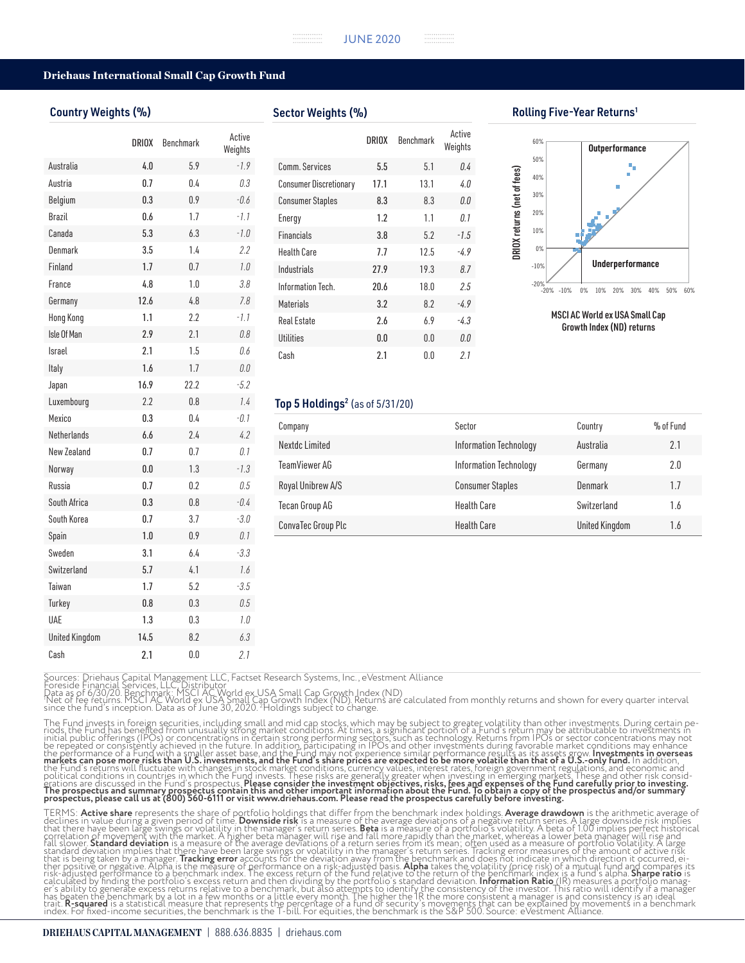#### Country Weights (%)

|                       | DRIOX | <b>Benchmark</b> | Active<br>Weights |
|-----------------------|-------|------------------|-------------------|
| Australia             | 4.0   | 5.9              | $-1.9$            |
| Austria               | 0.7   | 0.4              | 0.3               |
| Belgium               | 0.3   | 0.9              | $-0.6$            |
| Brazil                | 0.6   | 1.7              | $-1.1$            |
| Canada                | 5.3   | 6.3              | $-1.0$            |
| Denmark               | 3.5   | 1.4              | 2.2               |
| Finland               | 1.7   | 0.7              | 1.0               |
| France                | 4.8   | 1.0              | 3.8               |
| Germany               | 12.6  | 4.8              | 7.8               |
| <b>Hong Kong</b>      | 1.1   | 2.2              | $-1.1$            |
| Isle Of Man           | 2.9   | 2.1              | 0.8               |
| Israel                | 2.1   | 1.5              | 0.6               |
| Italy                 | 1.6   | 1.7              | 0.0               |
| Japan                 | 16.9  | 22.2             | $-5.2$            |
| Luxembourg            | 2.2   | 0.8              | 1.4               |
| Mexico                | 0.3   | 0.4              | $-0.1$            |
| <b>Netherlands</b>    | 6.6   | 2.4              | 4.2               |
| New Zealand           | 0.7   | 0.7              | 0.1               |
| Norway                | 0.0   | 1.3              | $-1.3$            |
| Russia                | 0.7   | 0.2              | 0.5               |
| South Africa          | 0.3   | 0.8              | $-0.4$            |
| South Korea           | 0.7   | 3.7              | $-3.0$            |
| Spain                 | 1.0   | 0.9              | 0.1               |
| Sweden                | 3.1   | 6.4              | $-3.3$            |
| Switzerland           | 5.7   | 4.1              | 1.6               |
| Taiwan                | 1.7   | 5.2              | $-3.5$            |
| Turkey                | 0.8   | 0.3              | 0.5               |
| <b>UAE</b>            | 1.3   | 0.3              | 1.0               |
| <b>United Kingdom</b> | 14.5  | 8.2              | 6.3               |
| Cash                  | 2.1   | 0.0              | 2.1               |

Sector Weights (%)

|                               | DRIOX | <b>Benchmark</b> | Active<br>Weights |
|-------------------------------|-------|------------------|-------------------|
| Comm. Services                | 5.5   | 5.1              | 0.4               |
| <b>Consumer Discretionary</b> | 17.1  | 13.1             | 4 0               |
| <b>Consumer Staples</b>       | 8.3   | 8.3              | 0.0               |
| Energy                        | 1.2   | 1.1              | 0.1               |
| <b>Financials</b>             | 3.8   | 5.2              | $-1.5$            |
| <b>Health Care</b>            | 7.7   | 12.5             | -49               |
| Industrials                   | 27.9  | 19.3             | 8.7               |
| Information Tech.             | 20.6  | 18.0             | 2.5               |
| <b>Materials</b>              | 3.2   | 8.2              | -49               |
| <b>Real Estate</b>            | 2.6   | 6.9              | $-4.3$            |
| <b>Utilities</b>              | 0.0   | 0.0              | 0.0               |
| Cash                          | 2.1   | 0.0              | 2.1               |
|                               |       |                  |                   |

#### Rolling Five-Year Returns1



Growth Index (ND) returns

#### Top 5 Holdings<sup>2</sup> (as of  $5/31/20$ )

| Company            | Sector                  | Country        | % of Fund |
|--------------------|-------------------------|----------------|-----------|
| Nextdc Limited     | Information Technology  | Australia      | 2.1       |
| TeamViewer AG      | Information Technology  | Germany        | 2.0       |
| Royal Unibrew A/S  | <b>Consumer Staples</b> | Denmark        | 1.7       |
| Tecan Group AG     | <b>Health Care</b>      | Switzerland    | 1.6       |
| ConvaTec Group Plc | <b>Health Care</b>      | United Kingdom | 1.6       |

Sources: Driehaus Capital Management LLC, Factset Research Systems, Inc., eVestment Alliance<br>Foreside Financial Services, LLC, Distributor<br>Data as of 6/30/20. Benchmark: MSCI AC World ex USA Small Cap Growth Index (ND)<br>"Ne

The Fund invests in foreign securities, including small and mid cap stocks, which may be subject to greater volatility than other investments. During certain periods, the Fund has been form unusually strong market conditio political conditions in countries in which the Fund invests. These risks are generally greater when investing in emerging markets. These and other risk consid-<br>erations are discussed in the Fund's prospectus. **Please consi** 

TERMS: **Active share** represents the share of portfolio holdings that differ from the benchmark index holdings. **Average drawdown** is the arithmetic average of<br>declines in value during a given period of time. **Downside ris** fall slower. **Standard deviation** is a measure of the average deviations of a return series from its mean; often used as a measure of portfolio volatility. A large<br>standard deviation implies that there have been large swip that is being taken by a manager. **Tracking error** accounts for the deviation away from the benchmark and does not indicate in which direction it occurred, ei-<br>ther positive or negative. Alpha is the measure of performance calculated by finding the portfolio's excess return and then dividing by the portfolio's standard deviation. **Information Ratio** (IR) measures'a portfolio manag-<br>er's ability to generate excess returns relative to a benchm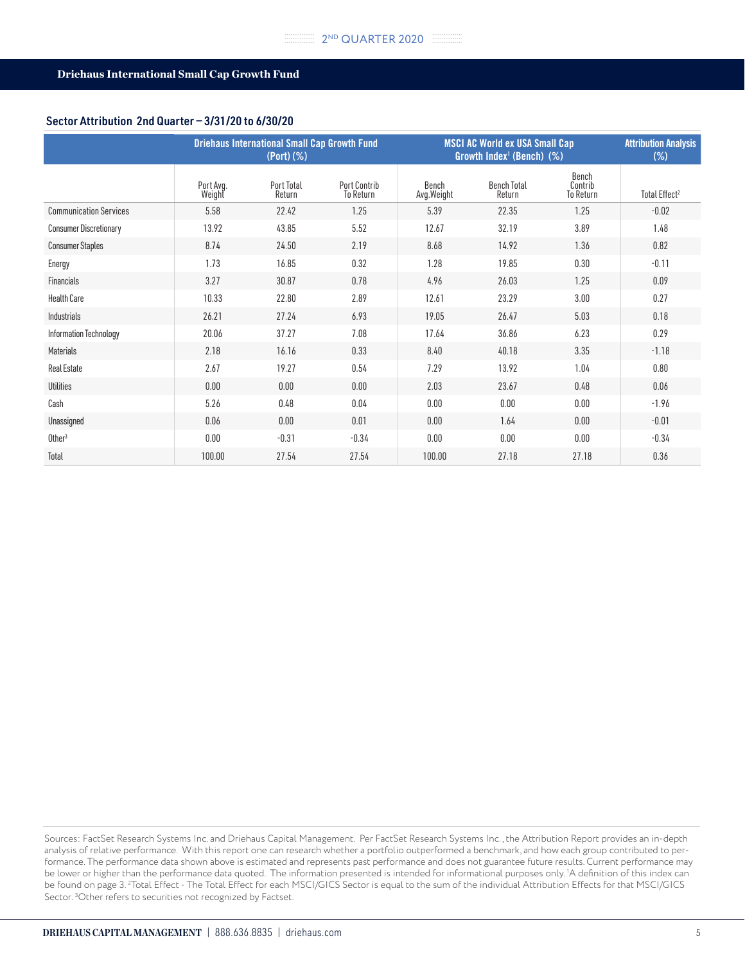# Sector Attribution 2nd Quarter — 3/31/20 to 6/30/20

|                               | <b>Driehaus International Small Cap Growth Fund</b><br>$(Port)$ $(\%)$ |                      |                           | <b>MSCI AC World ex USA Small Cap</b><br>Growth Index <sup>1</sup> (Bench) $(%)$ | <b>Attribution Analysis</b><br>$(\%)$ |                               |                           |
|-------------------------------|------------------------------------------------------------------------|----------------------|---------------------------|----------------------------------------------------------------------------------|---------------------------------------|-------------------------------|---------------------------|
|                               | Port Avg.<br>Weight                                                    | Port Total<br>Return | Port Contrib<br>To Return | Bench<br>Avg. Weight                                                             | <b>Bench Total</b><br>Return          | Bench<br>Contrib<br>To Return | Total Effect <sup>2</sup> |
| <b>Communication Services</b> | 5.58                                                                   | 22.42                | 1.25                      | 5.39                                                                             | 22.35                                 | 1.25                          | $-0.02$                   |
| <b>Consumer Discretionary</b> | 13.92                                                                  | 43.85                | 5.52                      | 12.67                                                                            | 32.19                                 | 3.89                          | 1.48                      |
| <b>Consumer Staples</b>       | 8.74                                                                   | 24.50                | 2.19                      | 8.68                                                                             | 14.92                                 | 1.36                          | 0.82                      |
| Energy                        | 1.73                                                                   | 16.85                | 0.32                      | 1.28                                                                             | 19.85                                 | 0.30                          | $-0.11$                   |
| Financials                    | 3.27                                                                   | 30.87                | 0.78                      | 4.96                                                                             | 26.03                                 | 1.25                          | 0.09                      |
| <b>Health Care</b>            | 10.33                                                                  | 22.80                | 2.89                      | 12.61                                                                            | 23.29                                 | 3.00                          | 0.27                      |
| Industrials                   | 26.21                                                                  | 27.24                | 6.93                      | 19.05                                                                            | 26.47                                 | 5.03                          | 0.18                      |
| Information Technology        | 20.06                                                                  | 37.27                | 7.08                      | 17.64                                                                            | 36.86                                 | 6.23                          | 0.29                      |
| Materials                     | 2.18                                                                   | 16.16                | 0.33                      | 8.40                                                                             | 40.18                                 | 3.35                          | $-1.18$                   |
| <b>Real Estate</b>            | 2.67                                                                   | 19.27                | 0.54                      | 7.29                                                                             | 13.92                                 | 1.04                          | 0.80                      |
| <b>Utilities</b>              | 0.00                                                                   | 0.00                 | 0.00                      | 2.03                                                                             | 23.67                                 | 0.48                          | 0.06                      |
| Cash                          | 5.26                                                                   | 0.48                 | 0.04                      | 0.00                                                                             | 0.00                                  | 0.00                          | $-1.96$                   |
| Unassigned                    | 0.06                                                                   | 0.00                 | 0.01                      | 0.00                                                                             | 1.64                                  | 0.00                          | $-0.01$                   |
| Other <sup>3</sup>            | 0.00                                                                   | $-0.31$              | $-0.34$                   | 0.00                                                                             | 0.00                                  | 0.00                          | $-0.34$                   |
| Total                         | 100.00                                                                 | 27.54                | 27.54                     | 100.00                                                                           | 27.18                                 | 27.18                         | 0.36                      |

Sources: FactSet Research Systems Inc. and Driehaus Capital Management. Per FactSet Research Systems Inc., the Attribution Report provides an in-depth analysis of relative performance. With this report one can research whether a portfolio outperformed a benchmark, and how each group contributed to performance. The performance data shown above is estimated and represents past performance and does not guarantee future results. Current performance may be lower or higher than the performance data quoted. The information presented is intended for informational purposes only. 1 A definition of this index can be found on page 3. <sup>2</sup>Total Effect - The Total Effect for each MSCI/GICS Sector is equal to the sum of the individual Attribution Effects for that MSCI/GICS Sector. 3 Other refers to securities not recognized by Factset.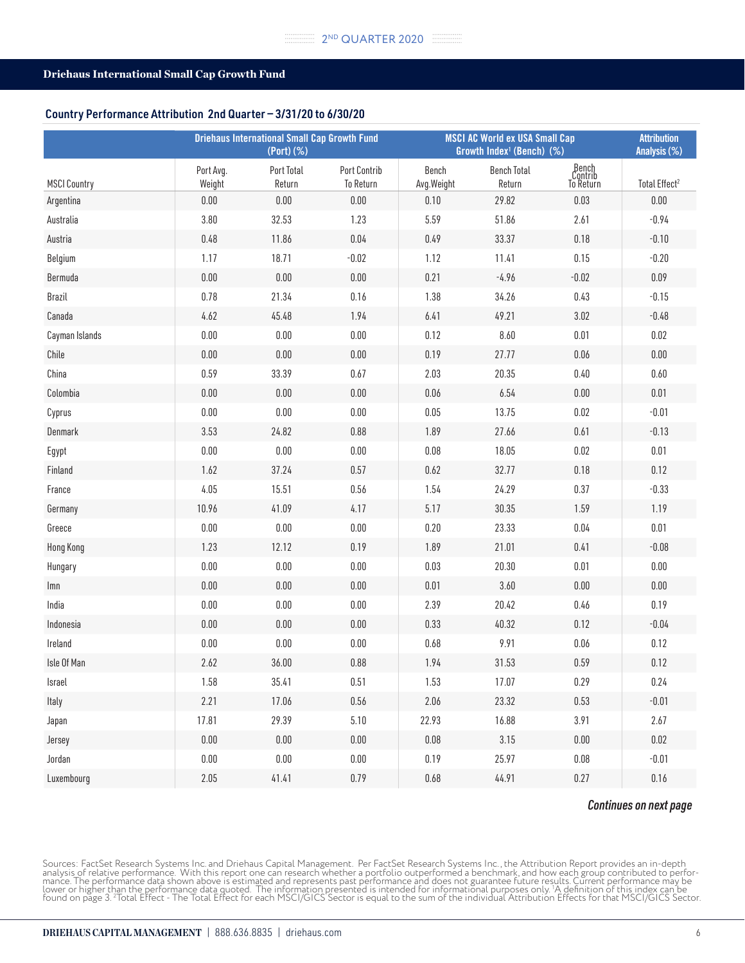#### Country Performance Attribution 2nd Quarter — 3/31/20 to 6/30/20

|                     | <b>Driehaus International Small Cap Growth Fund</b><br>(Port) (%) |                      |                                         | <b>MSCI AC World ex USA Small Cap</b><br>Growth Index <sup>1</sup> (Bench) (%) |                              |                               |                           |
|---------------------|-------------------------------------------------------------------|----------------------|-----------------------------------------|--------------------------------------------------------------------------------|------------------------------|-------------------------------|---------------------------|
| <b>MSCI Country</b> | Port Avg.<br>Weight                                               | Port Total<br>Return | <b>Port Contrib</b><br><b>To Return</b> | Bench<br>Avg.Weight                                                            | <b>Bench Total</b><br>Return | Bench<br>Contrib<br>To Return | Total Effect <sup>2</sup> |
| Argentina           | $0.00\,$                                                          | 0.00                 | 0.00                                    | 0.10                                                                           | 29.82                        | 0.03                          | $0.00\,$                  |
| Australia           | 3.80                                                              | 32.53                | 1.23                                    | 5.59                                                                           | 51.86                        | 2.61                          | $-0.94$                   |
| Austria             | 0.48                                                              | 11.86                | 0.04                                    | 0.49                                                                           | 33.37                        | 0.18                          | $-0.10$                   |
| Belgium             | 1.17                                                              | 18.71                | $-0.02$                                 | 1.12                                                                           | 11.41                        | 0.15                          | $-0.20$                   |
| Bermuda             | $0.00\,$                                                          | $0.00\,$             | $0.00\,$                                | 0.21                                                                           | $-4.96$                      | $-0.02$                       | 0.09                      |
| Brazil              | 0.78                                                              | 21.34                | 0.16                                    | 1.38                                                                           | 34.26                        | 0.43                          | $-0.15$                   |
| Canada              | 4.62                                                              | 45.48                | 1.94                                    | 6.41                                                                           | 49.21                        | 3.02                          | $-0.48$                   |
| Cayman Islands      | $0.00\,$                                                          | $0.00\,$             | 0.00                                    | 0.12                                                                           | 8.60                         | 0.01                          | $0.02\,$                  |
| Chile               | $0.00\,$                                                          | $0.00\,$             | 0.00                                    | 0.19                                                                           | 27.77                        | 0.06                          | 0.00                      |
| China               | 0.59                                                              | 33.39                | 0.67                                    | 2.03                                                                           | 20.35                        | $0.40\,$                      | 0.60                      |
| Colombia            | $0.00\,$                                                          | $0.00\,$             | 0.00                                    | 0.06                                                                           | 6.54                         | $0.00\,$                      | 0.01                      |
| Cyprus              | $0.00\,$                                                          | $0.00\,$             | $0.00\,$                                | 0.05                                                                           | 13.75                        | 0.02                          | $-0.01$                   |
| Denmark             | 3.53                                                              | 24.82                | 0.88                                    | 1.89                                                                           | 27.66                        | 0.61                          | $-0.13$                   |
| Egypt               | $0.00\,$                                                          | $0.00\,$             | $0.00\,$                                | 0.08                                                                           | 18.05                        | 0.02                          | 0.01                      |
| Finland             | 1.62                                                              | 37.24                | 0.57                                    | 0.62                                                                           | 32.77                        | 0.18                          | 0.12                      |
| France              | 4.05                                                              | 15.51                | 0.56                                    | 1.54                                                                           | 24.29                        | 0.37                          | $-0.33$                   |
| Germany             | 10.96                                                             | 41.09                | 4.17                                    | 5.17                                                                           | 30.35                        | 1.59                          | 1.19                      |
| Greece              | $0.00\,$                                                          | $0.00\,$             | $0.00\,$                                | 0.20                                                                           | 23.33                        | 0.04                          | 0.01                      |
| Hong Kong           | 1.23                                                              | 12.12                | 0.19                                    | 1.89                                                                           | 21.01                        | 0.41                          | $-0.08$                   |
| Hungary             | $0.00\,$                                                          | $0.00\,$             | 0.00                                    | 0.03                                                                           | 20.30                        | 0.01                          | 0.00                      |
| Imn                 | $0.00\,$                                                          | $0.00\,$             | 0.00                                    | 0.01                                                                           | 3.60                         | 0.00                          | $0.00\,$                  |
| India               | $0.00\,$                                                          | $0.00\,$             | 0.00                                    | 2.39                                                                           | 20.42                        | 0.46                          | 0.19                      |
| Indonesia           | $0.00\,$                                                          | $0.00\,$             | $0.00\,$                                | 0.33                                                                           | 40.32                        | 0.12                          | $-0.04$                   |
| Ireland             | $0.00\,$                                                          | $0.00\,$             | 0.00                                    | 0.68                                                                           | 9.91                         | 0.06                          | 0.12                      |
| Isle Of Man         | 2.62                                                              | 36.00                | 0.88                                    | 1.94                                                                           | 31.53                        | 0.59                          | 0.12                      |
| Israel              | 1.58                                                              | 35.41                | 0.51                                    | 1.53                                                                           | 17.07                        | 0.29                          | 0.24                      |
| Italy               | 2.21                                                              | 17.06                | $0.56\,$                                | 2.06                                                                           | 23.32                        | 0.53                          | $-0.01$                   |
| Japan               | 17.81                                                             | 29.39                | $5.10$                                  | 22.93                                                                          | 16.88                        | 3.91                          | 2.67                      |
| Jersey              | $0.00\,$                                                          | 0.00                 | 0.00                                    | $0.08\,$                                                                       | 3.15                         | $0.00\,$                      | 0.02                      |
| Jordan              | $0.00\,$                                                          | $0.00\,$             | $0.00\,$                                | 0.19                                                                           | 25.97                        | $0.08\,$                      | $-0.01$                   |
| Luxembourg          | $2.05$                                                            | 41.41                | 0.79                                    | 0.68                                                                           | 44.91                        | 0.27                          | 0.16                      |

#### *Continues on next page*

Sources: FactSet Research Systems Inc. and Driehaus Capital Management. Per FactSet Research Systems Inc., the Attribution Report provides an in-depth<br>analysis of relative performance. With this report one can research whe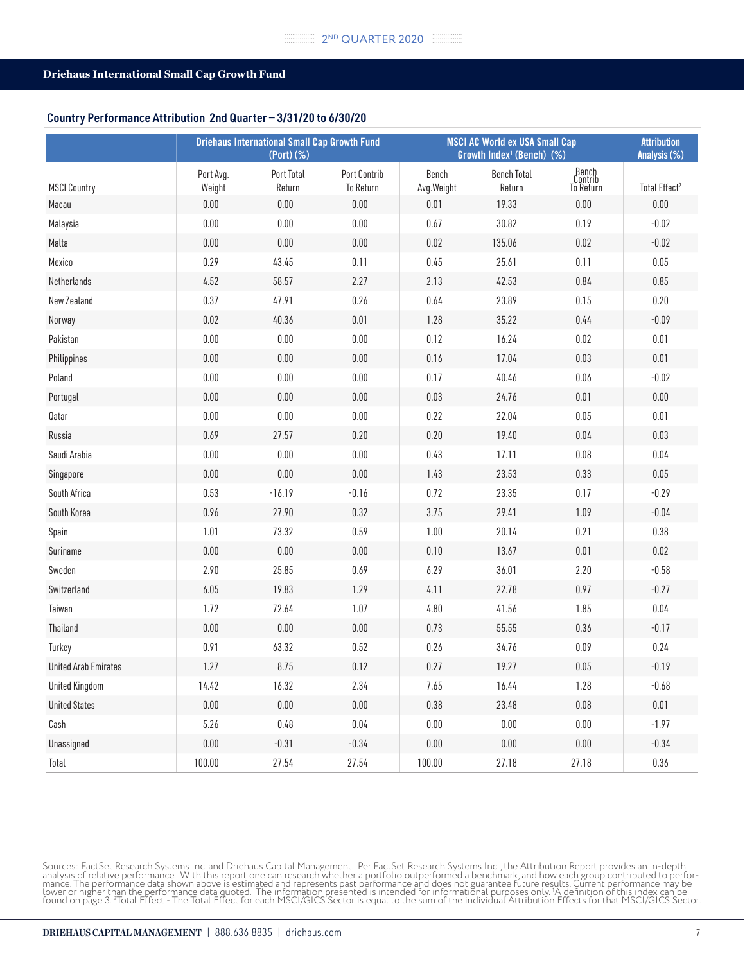#### Country Performance Attribution 2nd Quarter — 3/31/20 to 6/30/20

|                             |                     | <b>Driehaus International Small Cap Growth Fund</b><br>(Port) (%) |                                  |                     | <b>MSCI AC World ex USA Small Cap</b><br>Growth Index <sup>1</sup> (Bench) (%) |                               | <b>Attribution</b><br>Analysis (%) |
|-----------------------------|---------------------|-------------------------------------------------------------------|----------------------------------|---------------------|--------------------------------------------------------------------------------|-------------------------------|------------------------------------|
| <b>MSCI Country</b>         | Port Avg.<br>Weight | Port Total<br>Return                                              | <b>Port Contrib</b><br>To Return | Bench<br>Avg.Weight | <b>Bench Total</b><br>Return                                                   | Bench<br>Contrib<br>To Return | Total Effect <sup>2</sup>          |
| Macau                       | $0.00\,$            | $0.00\,$                                                          | $0.00\,$                         | 0.01                | 19.33                                                                          | 0.00                          | $0.00\,$                           |
| Malaysia                    | 0.00                | $0.00\,$                                                          | $0.00\,$                         | 0.67                | 30.82                                                                          | 0.19                          | $-0.02$                            |
| Malta                       | 0.00                | $0.00\,$                                                          | $0.00\,$                         | 0.02                | 135.06                                                                         | 0.02                          | $-0.02$                            |
| Mexico                      | 0.29                | 43.45                                                             | 0.11                             | 0.45                | 25.61                                                                          | 0.11                          | $0.05\,$                           |
| Netherlands                 | 4.52                | 58.57                                                             | 2.27                             | 2.13                | 42.53                                                                          | 0.84                          | $0.85\,$                           |
| New Zealand                 | 0.37                | 47.91                                                             | 0.26                             | 0.64                | 23.89                                                                          | 0.15                          | 0.20                               |
| Norway                      | 0.02                | 40.36                                                             | 0.01                             | 1.28                | 35.22                                                                          | 0.44                          | $-0.09$                            |
| Pakistan                    | $0.00\,$            | $0.00\,$                                                          | $0.00\,$                         | 0.12                | 16.24                                                                          | 0.02                          | 0.01                               |
| Philippines                 | 0.00                | $0.00\,$                                                          | $0.00\,$                         | 0.16                | 17.04                                                                          | 0.03                          | 0.01                               |
| Poland                      | $0.00\,$            | $0.00\,$                                                          | $0.00\,$                         | 0.17                | 40.46                                                                          | 0.06                          | $-0.02$                            |
| Portugal                    | $0.00\,$            | $0.00\,$                                                          | $0.00\,$                         | 0.03                | 24.76                                                                          | 0.01                          | $0.00\,$                           |
| Qatar                       | $0.00\,$            | $0.00\,$                                                          | $0.00\,$                         | 0.22                | 22.04                                                                          | $0.05\,$                      | 0.01                               |
| Russia                      | 0.69                | 27.57                                                             | 0.20                             | 0.20                | 19.40                                                                          | $0.04\,$                      | 0.03                               |
| Saudi Arabia                | $0.00\,$            | 0.00                                                              | $0.00\,$                         | 0.43                | 17.11                                                                          | 0.08                          | 0.04                               |
| Singapore                   | 0.00                | $0.00\,$                                                          | $0.00\,$                         | 1.43                | 23.53                                                                          | 0.33                          | $0.05\,$                           |
| South Africa                | 0.53                | $-16.19$                                                          | $-0.16$                          | 0.72                | 23.35                                                                          | 0.17                          | $-0.29$                            |
| South Korea                 | 0.96                | 27.90                                                             | 0.32                             | 3.75                | 29.41                                                                          | 1.09                          | $-0.04$                            |
| Spain                       | 1.01                | 73.32                                                             | 0.59                             | 1.00                | 20.14                                                                          | 0.21                          | 0.38                               |
| Suriname                    | $0.00\,$            | $0.00\,$                                                          | $0.00\,$                         | 0.10                | 13.67                                                                          | $0.01$                        | 0.02                               |
| Sweden                      | 2.90                | 25.85                                                             | 0.69                             | 6.29                | 36.01                                                                          | 2.20                          | $-0.58$                            |
| Switzerland                 | 6.05                | 19.83                                                             | 1.29                             | 4.11                | 22.78                                                                          | 0.97                          | $-0.27$                            |
| Taiwan                      | 1.72                | 72.64                                                             | 1.07                             | 4.80                | 41.56                                                                          | 1.85                          | $0.04\,$                           |
| Thailand                    | $0.00\,$            | $0.00\,$                                                          | $0.00\,$                         | 0.73                | 55.55                                                                          | 0.36                          | $-0.17$                            |
| Turkey                      | 0.91                | 63.32                                                             | 0.52                             | 0.26                | 34.76                                                                          | 0.09                          | 0.24                               |
| <b>United Arab Emirates</b> | 1.27                | 8.75                                                              | 0.12                             | 0.27                | 19.27                                                                          | 0.05                          | $-0.19$                            |
| <b>United Kingdom</b>       | 14.42               | 16.32                                                             | 2.34                             | 7.65                | 16.44                                                                          | 1.28                          | $-0.68$                            |
| <b>United States</b>        | $0.00\,$            | $0.00\,$                                                          | $0.00\,$                         | 0.38                | 23.48                                                                          | $0.08\,$                      | $0.01\,$                           |
| Cash                        | 5.26                | $0.48\,$                                                          | $0.04\,$                         | $0.00\,$            | $0.00\,$                                                                       | $0.00\,$                      | $-1.97$                            |
| Unassigned                  | $0.00\,$            | $-0.31$                                                           | $-0.34$                          | $0.00\,$            | $0.00\,$                                                                       | $0.00\,$                      | $-0.34$                            |
| Total                       | 100.00              | 27.54                                                             | 27.54                            | 100.00              | 27.18                                                                          | 27.18                         | $0.36\,$                           |

Sources: FactSet Research Systems Inc. and Driehaus Capital Management. Per FactSet Research Systems Inc., the Attribution Report provides an in-depth<br>analysis of relative performance. With this report one can research whe